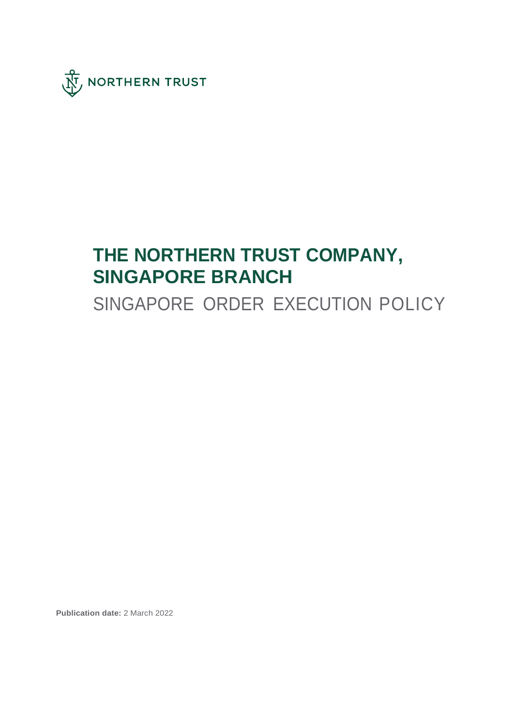

# **THE NORTHERN TRUST COMPANY, SINGAPORE BRANCH**

SINGAPORE ORDER EXECUTION POLICY

**Publication date:** 2 March 2022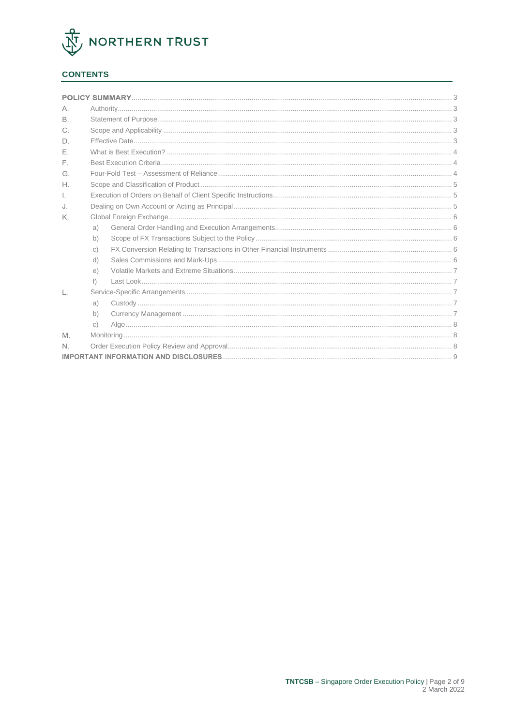

## **CONTENTS**

| А.           |              |  |  |
|--------------|--------------|--|--|
| <b>B</b>     |              |  |  |
| $C_{1}$      |              |  |  |
| D.           |              |  |  |
| $F_{\rm c}$  |              |  |  |
| E.           |              |  |  |
| G.           |              |  |  |
| Η.           |              |  |  |
| $\mathbb{L}$ |              |  |  |
| J.           |              |  |  |
| K.           |              |  |  |
|              | a)           |  |  |
|              | b)           |  |  |
|              | $\circ$ )    |  |  |
|              | d)           |  |  |
|              | $\epsilon$ ) |  |  |
|              | $f$ )        |  |  |
| L.           |              |  |  |
|              | a)           |  |  |
|              | b)           |  |  |
|              | $\circ$ )    |  |  |
| M            |              |  |  |
| N.           |              |  |  |
|              |              |  |  |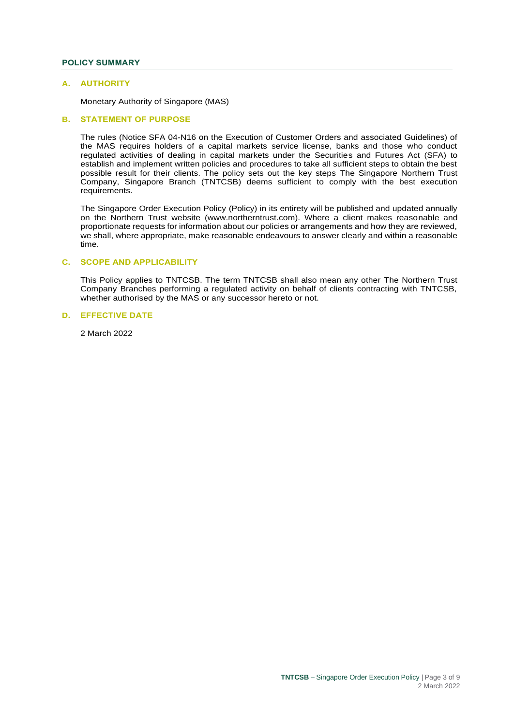## <span id="page-2-0"></span>**POLICY SUMMARY**

#### <span id="page-2-1"></span>**A. AUTHORITY**

Monetary Authority of Singapore (MAS)

## <span id="page-2-2"></span>**B. STATEMENT OF PURPOSE**

The rules (Notice SFA 04-N16 on the Execution of Customer Orders and associated Guidelines) of the MAS requires holders of a capital markets service license, banks and those who conduct regulated activities of dealing in capital markets under the Securities and Futures Act (SFA) to establish and implement written policies and procedures to take all sufficient steps to obtain the best possible result for their clients. The policy sets out the key steps The Singapore Northern Trust Company, Singapore Branch (TNTCSB) deems sufficient to comply with the best execution requirements.

The Singapore Order Execution Policy (Policy) in its entirety will be published and updated annually on the Northern Trust website (www.northerntrust.com). Where a client makes reasonable and proportionate requests for information about our policies or arrangements and how they are reviewed, we shall, where appropriate, make reasonable endeavours to answer clearly and within a reasonable time.

#### <span id="page-2-3"></span>**C. SCOPE AND APPLICABILITY**

This Policy applies to TNTCSB. The term TNTCSB shall also mean any other The Northern Trust Company Branches performing a regulated activity on behalf of clients contracting with TNTCSB, whether authorised by the MAS or any successor hereto or not.

#### <span id="page-2-4"></span>**D. EFFECTIVE DATE**

2 March 2022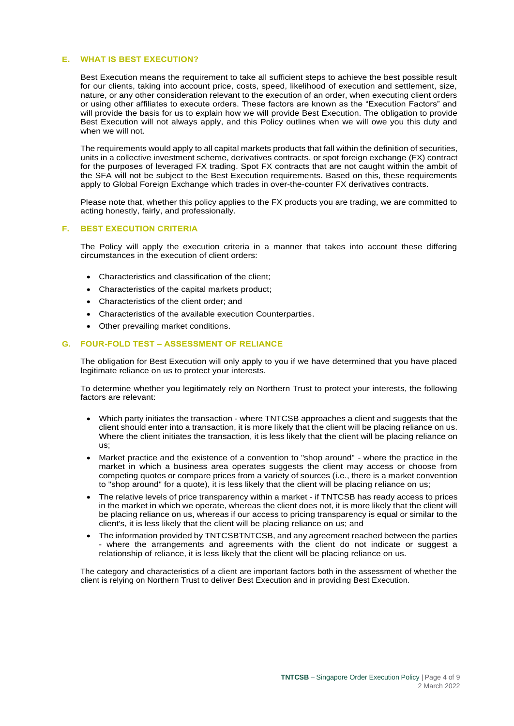#### <span id="page-3-0"></span>**E. WHAT IS BEST EXECUTION?**

Best Execution means the requirement to take all sufficient steps to achieve the best possible result for our clients, taking into account price, costs, speed, likelihood of execution and settlement, size, nature, or any other consideration relevant to the execution of an order, when executing client orders or using other affiliates to execute orders. These factors are known as the "Execution Factors" and will provide the basis for us to explain how we will provide Best Execution. The obligation to provide Best Execution will not always apply, and this Policy outlines when we will owe you this duty and when we will not.

The requirements would apply to all capital markets products that fall within the definition of securities, units in a collective investment scheme, derivatives contracts, or spot foreign exchange (FX) contract for the purposes of leveraged FX trading. Spot FX contracts that are not caught within the ambit of the SFA will not be subject to the Best Execution requirements. Based on this, these requirements apply to Global Foreign Exchange which trades in over-the-counter FX derivatives contracts.

Please note that, whether this policy applies to the FX products you are trading, we are committed to acting honestly, fairly, and professionally.

## <span id="page-3-1"></span>**F. BEST EXECUTION CRITERIA**

The Policy will apply the execution criteria in a manner that takes into account these differing circumstances in the execution of client orders:

- Characteristics and classification of the client;
- Characteristics of the capital markets product;
- Characteristics of the client order; and
- Characteristics of the available execution Counterparties.
- Other prevailing market conditions.

## <span id="page-3-2"></span>**G. FOUR-FOLD TEST – ASSESSMENT OF RELIANCE**

The obligation for Best Execution will only apply to you if we have determined that you have placed legitimate reliance on us to protect your interests.

To determine whether you legitimately rely on Northern Trust to protect your interests, the following factors are relevant:

- Which party initiates the transaction where TNTCSB approaches a client and suggests that the client should enter into a transaction, it is more likely that the client will be placing reliance on us. Where the client initiates the transaction, it is less likely that the client will be placing reliance on us;
- Market practice and the existence of a convention to "shop around" where the practice in the market in which a business area operates suggests the client may access or choose from competing quotes or compare prices from a variety of sources (i.e., there is a market convention to "shop around" for a quote), it is less likely that the client will be placing reliance on us;
- The relative levels of price transparency within a market if TNTCSB has ready access to prices in the market in which we operate, whereas the client does not, it is more likely that the client will be placing reliance on us, whereas if our access to pricing transparency is equal or similar to the client's, it is less likely that the client will be placing reliance on us; and
- The information provided by TNTCSBTNTCSB, and any agreement reached between the parties - where the arrangements and agreements with the client do not indicate or suggest a relationship of reliance, it is less likely that the client will be placing reliance on us.

The category and characteristics of a client are important factors both in the assessment of whether the client is relying on Northern Trust to deliver Best Execution and in providing Best Execution.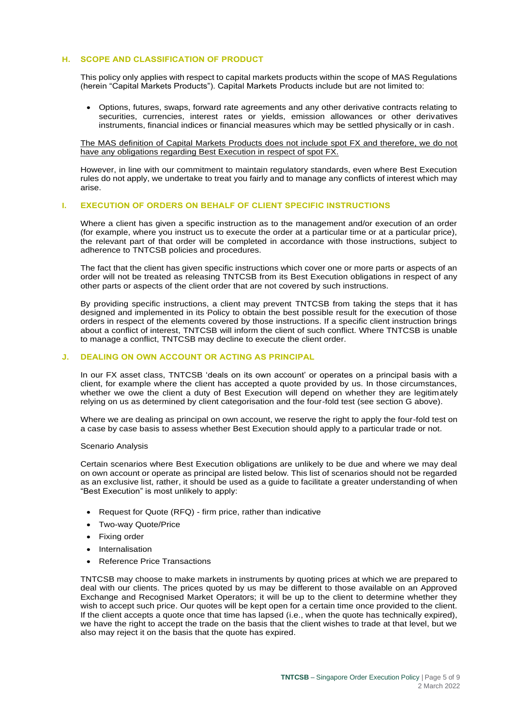## <span id="page-4-0"></span>**H. SCOPE AND CLASSIFICATION OF PRODUCT**

This policy only applies with respect to capital markets products within the scope of MAS Regulations (herein "Capital Markets Products"). Capital Markets Products include but are not limited to:

• Options, futures, swaps, forward rate agreements and any other derivative contracts relating to securities, currencies, interest rates or yields, emission allowances or other derivatives instruments, financial indices or financial measures which may be settled physically or in cash.

The MAS definition of Capital Markets Products does not include spot FX and therefore, we do not have any obligations regarding Best Execution in respect of spot FX.

However, in line with our commitment to maintain regulatory standards, even where Best Execution rules do not apply, we undertake to treat you fairly and to manage any conflicts of interest which may arise.

#### <span id="page-4-1"></span>**I. EXECUTION OF ORDERS ON BEHALF OF CLIENT SPECIFIC INSTRUCTIONS**

Where a client has given a specific instruction as to the management and/or execution of an order (for example, where you instruct us to execute the order at a particular time or at a particular price), the relevant part of that order will be completed in accordance with those instructions, subject to adherence to TNTCSB policies and procedures.

The fact that the client has given specific instructions which cover one or more parts or aspects of an order will not be treated as releasing TNTCSB from its Best Execution obligations in respect of any other parts or aspects of the client order that are not covered by such instructions.

By providing specific instructions, a client may prevent TNTCSB from taking the steps that it has designed and implemented in its Policy to obtain the best possible result for the execution of those orders in respect of the elements covered by those instructions. If a specific client instruction brings about a conflict of interest, TNTCSB will inform the client of such conflict. Where TNTCSB is unable to manage a conflict, TNTCSB may decline to execute the client order.

#### <span id="page-4-2"></span>**J. DEALING ON OWN ACCOUNT OR ACTING AS PRINCIPAL**

In our FX asset class, TNTCSB 'deals on its own account' or operates on a principal basis with a client, for example where the client has accepted a quote provided by us. In those circumstances, whether we owe the client a duty of Best Execution will depend on whether they are legitimately relying on us as determined by client categorisation and the four-fold test (see section G above).

Where we are dealing as principal on own account, we reserve the right to apply the four-fold test on a case by case basis to assess whether Best Execution should apply to a particular trade or not.

#### Scenario Analysis

Certain scenarios where Best Execution obligations are unlikely to be due and where we may deal on own account or operate as principal are listed below. This list of scenarios should not be regarded as an exclusive list, rather, it should be used as a guide to facilitate a greater understanding of when "Best Execution" is most unlikely to apply:

- Request for Quote (RFQ) firm price, rather than indicative
- Two-way Quote/Price
- Fixing order
- **Internalisation**
- Reference Price Transactions

TNTCSB may choose to make markets in instruments by quoting prices at which we are prepared to deal with our clients. The prices quoted by us may be different to those available on an Approved Exchange and Recognised Market Operators; it will be up to the client to determine whether they wish to accept such price. Our quotes will be kept open for a certain time once provided to the client. If the client accepts a quote once that time has lapsed (i.e., when the quote has technically expired), we have the right to accept the trade on the basis that the client wishes to trade at that level, but we also may reject it on the basis that the quote has expired.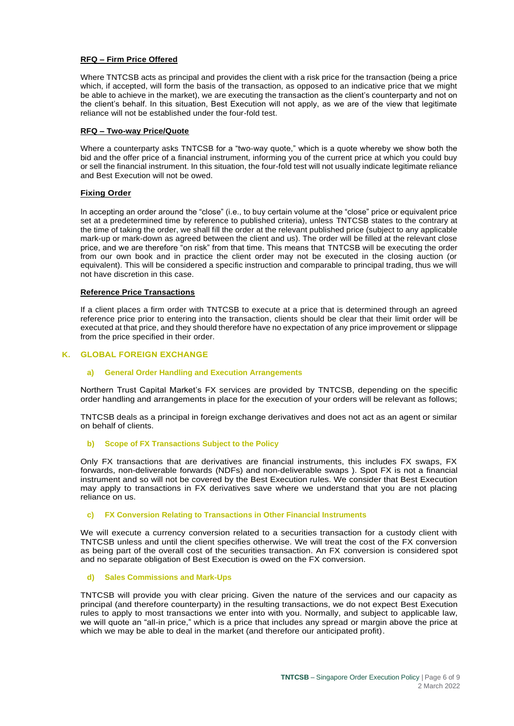## **RFQ – Firm Price Offered**

Where TNTCSB acts as principal and provides the client with a risk price for the transaction (being a price which, if accepted, will form the basis of the transaction, as opposed to an indicative price that we might be able to achieve in the market), we are executing the transaction as the client's counterparty and not on the client's behalf. In this situation, Best Execution will not apply, as we are of the view that legitimate reliance will not be established under the four-fold test.

## **RFQ – Two-way Price/Quote**

Where a counterparty asks TNTCSB for a "two-way quote," which is a quote whereby we show both the bid and the offer price of a financial instrument, informing you of the current price at which you could buy or sell the financial instrument. In this situation, the four-fold test will not usually indicate legitimate reliance and Best Execution will not be owed.

## **Fixing Order**

In accepting an order around the "close" (i.e., to buy certain volume at the "close" price or equivalent price set at a predetermined time by reference to published criteria), unless TNTCSB states to the contrary at the time of taking the order, we shall fill the order at the relevant published price (subject to any applicable mark-up or mark-down as agreed between the client and us). The order will be filled at the relevant close price, and we are therefore "on risk" from that time. This means that TNTCSB will be executing the order from our own book and in practice the client order may not be executed in the closing auction (or equivalent). This will be considered a specific instruction and comparable to principal trading, thus we will not have discretion in this case.

#### **Reference Price Transactions**

If a client places a firm order with TNTCSB to execute at a price that is determined through an agreed reference price prior to entering into the transaction, clients should be clear that their limit order will be executed at that price, and they should therefore have no expectation of any price improvement or slippage from the price specified in their order.

## <span id="page-5-1"></span><span id="page-5-0"></span>**K. GLOBAL FOREIGN EXCHANGE**

#### **a) General Order Handling and Execution Arrangements**

Northern Trust Capital Market's FX services are provided by TNTCSB, depending on the specific order handling and arrangements in place for the execution of your orders will be relevant as follows;

TNTCSB deals as a principal in foreign exchange derivatives and does not act as an agent or similar on behalf of clients.

#### **b) Scope of FX Transactions Subject to the Policy**

<span id="page-5-2"></span>Only FX transactions that are derivatives are financial instruments, this includes FX swaps, FX forwards, non-deliverable forwards (NDFs) and non-deliverable swaps ). Spot FX is not a financial instrument and so will not be covered by the Best Execution rules. We consider that Best Execution may apply to transactions in FX derivatives save where we understand that you are not placing reliance on us.

#### **c) FX Conversion Relating to Transactions in Other Financial Instruments**

<span id="page-5-3"></span>We will execute a currency conversion related to a securities transaction for a custody client with TNTCSB unless and until the client specifies otherwise. We will treat the cost of the FX conversion as being part of the overall cost of the securities transaction. An FX conversion is considered spot and no separate obligation of Best Execution is owed on the FX conversion.

#### **d) Sales Commissions and Mark-Ups**

<span id="page-5-4"></span>TNTCSB will provide you with clear pricing. Given the nature of the services and our capacity as principal (and therefore counterparty) in the resulting transactions, we do not expect Best Execution rules to apply to most transactions we enter into with you. Normally, and subject to applicable law, we will quote an "all-in price," which is a price that includes any spread or margin above the price at which we may be able to deal in the market (and therefore our anticipated profit).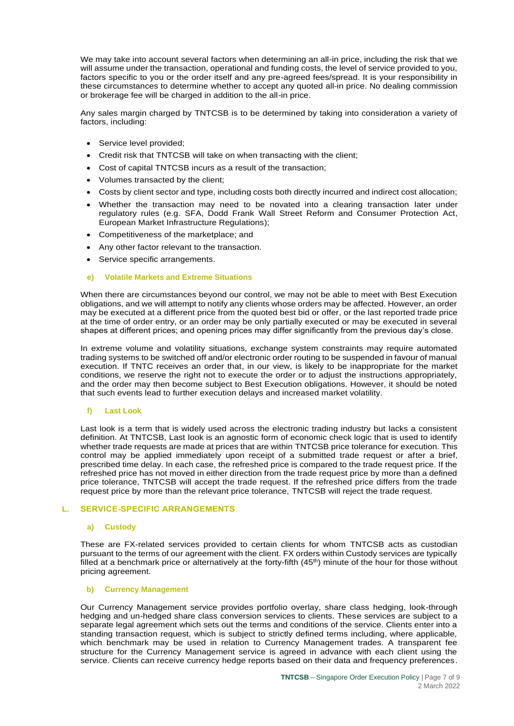We may take into account several factors when determining an all-in price, including the risk that we will assume under the transaction, operational and funding costs, the level of service provided to you, factors specific to you or the order itself and any pre-agreed fees/spread. It is your responsibility in these circumstances to determine whether to accept any quoted all-in price. No dealing commission or brokerage fee will be charged in addition to the all-in price.

Any sales margin charged by TNTCSB is to be determined by taking into consideration a variety of factors, including:

- Service level provided;
- Credit risk that TNTCSB will take on when transacting with the client;
- Cost of capital TNTCSB incurs as a result of the transaction;
- Volumes transacted by the client;
- Costs by client sector and type, including costs both directly incurred and indirect cost allocation;
- Whether the transaction may need to be novated into a clearing transaction later under regulatory rules (e.g. SFA, Dodd Frank Wall Street Reform and Consumer Protection Act, European Market Infrastructure Regulations);
- Competitiveness of the marketplace; and
- Any other factor relevant to the transaction.
- Service specific arrangements.
- **e) Volatile Markets and Extreme Situations**

<span id="page-6-0"></span>When there are circumstances beyond our control, we may not be able to meet with Best Execution obligations, and we will attempt to notify any clients whose orders may be affected. However, an order may be executed at a different price from the quoted best bid or offer, or the last reported trade price at the time of order entry, or an order may be only partially executed or may be executed in several shapes at different prices; and opening prices may differ significantly from the previous day's close.

In extreme volume and volatility situations, exchange system constraints may require automated trading systems to be switched off and/or electronic order routing to be suspended in favour of manual execution. If TNTC receives an order that, in our view, is likely to be inappropriate for the market conditions, we reserve the right not to execute the order or to adjust the instructions appropriately, and the order may then become subject to Best Execution obligations. However, it should be noted that such events lead to further execution delays and increased market volatility.

#### **f) Last Look**

<span id="page-6-1"></span>Last look is a term that is widely used across the electronic trading industry but lacks a consistent definition. At TNTCSB, Last look is an agnostic form of economic check logic that is used to identify whether trade requests are made at prices that are within TNTCSB price tolerance for execution. This control may be applied immediately upon receipt of a submitted trade request or after a brief, prescribed time delay. In each case, the refreshed price is compared to the trade request price. If the refreshed price has not moved in either direction from the trade request price by more than a defined price tolerance, TNTCSB will accept the trade request. If the refreshed price differs from the trade request price by more than the relevant price tolerance, TNTCSB will reject the trade request.

#### <span id="page-6-3"></span><span id="page-6-2"></span>**L. SERVICE-SPECIFIC ARRANGEMENTS**

#### **a) Custody**

These are FX-related services provided to certain clients for whom TNTCSB acts as custodian pursuant to the terms of our agreement with the client. FX orders within Custody services are typically filled at a benchmark price or alternatively at the forty-fifth  $(45<sup>th</sup>)$  minute of the hour for those without pricing agreement.

#### <span id="page-6-4"></span>**b) Currency Management**

Our Currency Management service provides portfolio overlay, share class hedging, look-through hedging and un-hedged share class conversion services to clients. These services are subject to a separate legal agreement which sets out the terms and conditions of the service. Clients enter into a standing transaction request, which is subject to strictly defined terms including, where applicable, which benchmark may be used in relation to Currency Management trades. A transparent fee structure for the Currency Management service is agreed in advance with each client using the service. Clients can receive currency hedge reports based on their data and frequency preferences.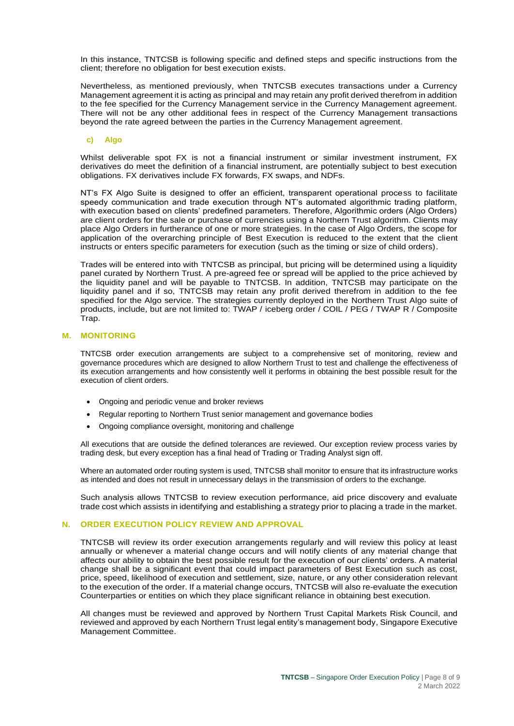In this instance, TNTCSB is following specific and defined steps and specific instructions from the client; therefore no obligation for best execution exists.

Nevertheless, as mentioned previously, when TNTCSB executes transactions under a Currency Management agreement it is acting as principal and may retain any profit derived therefrom in addition to the fee specified for the Currency Management service in the Currency Management agreement. There will not be any other additional fees in respect of the Currency Management transactions beyond the rate agreed between the parties in the Currency Management agreement.

#### **c) Algo**

<span id="page-7-0"></span>Whilst deliverable spot FX is not a financial instrument or similar investment instrument, FX derivatives do meet the definition of a financial instrument, are potentially subject to best execution obligations. FX derivatives include FX forwards, FX swaps, and NDFs.

NT's FX Algo Suite is designed to offer an efficient, transparent operational process to facilitate speedy communication and trade execution through NT's automated algorithmic trading platform, with execution based on clients' predefined parameters. Therefore, Algorithmic orders (Algo Orders) are client orders for the sale or purchase of currencies using a Northern Trust algorithm. Clients may place Algo Orders in furtherance of one or more strategies. In the case of Algo Orders, the scope for application of the overarching principle of Best Execution is reduced to the extent that the client instructs or enters specific parameters for execution (such as the timing or size of child orders).

Trades will be entered into with TNTCSB as principal, but pricing will be determined using a liquidity panel curated by Northern Trust. A pre-agreed fee or spread will be applied to the price achieved by the liquidity panel and will be payable to TNTCSB. In addition, TNTCSB may participate on the liquidity panel and if so, TNTCSB may retain any profit derived therefrom in addition to the fee specified for the Algo service. The strategies currently deployed in the Northern Trust Algo suite of products, include, but are not limited to: TWAP / iceberg order / COIL / PEG / TWAP R / Composite Trap.

#### <span id="page-7-1"></span>**M. MONITORING**

TNTCSB order execution arrangements are subject to a comprehensive set of monitoring, review and governance procedures which are designed to allow Northern Trust to test and challenge the effectiveness of its execution arrangements and how consistently well it performs in obtaining the best possible result for the execution of client orders.

- Ongoing and periodic venue and broker reviews
- Regular reporting to Northern Trust senior management and governance bodies
- Ongoing compliance oversight, monitoring and challenge

All executions that are outside the defined tolerances are reviewed. Our exception review process varies by trading desk, but every exception has a final head of Trading or Trading Analyst sign off.

Where an automated order routing system is used, TNTCSB shall monitor to ensure that its infrastructure works as intended and does not result in unnecessary delays in the transmission of orders to the exchange.

Such analysis allows TNTCSB to review execution performance, aid price discovery and evaluate trade cost which assists in identifying and establishing a strategy prior to placing a trade in the market.

#### <span id="page-7-2"></span>**N. ORDER EXECUTION POLICY REVIEW AND APPROVAL**

TNTCSB will review its order execution arrangements regularly and will review this policy at least annually or whenever a material change occurs and will notify clients of any material change that affects our ability to obtain the best possible result for the execution of our clients' orders. A material change shall be a significant event that could impact parameters of Best Execution such as cost, price, speed, likelihood of execution and settlement, size, nature, or any other consideration relevant to the execution of the order. If a material change occurs, TNTCSB will also re-evaluate the execution Counterparties or entities on which they place significant reliance in obtaining best execution.

All changes must be reviewed and approved by Northern Trust Capital Markets Risk Council, and reviewed and approved by each Northern Trust legal entity's management body, Singapore Executive Management Committee.